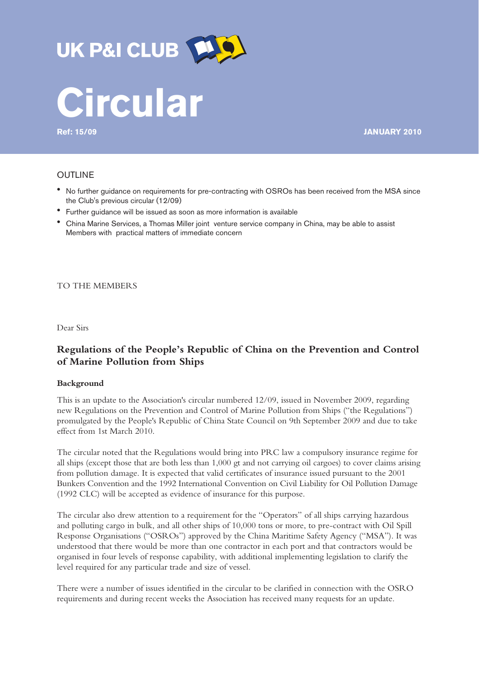

**Ref: 15/09 JANUARY 2010**

# OUTLINE

- ! No further guidance on requirements for pre-contracting with OSROs has been received from the MSA since the Club's previous circular (12/09)
- ! Further guidance will be issued as soon as more information is available
- ! China Marine Services, a Thomas Miller joint venture service company in China, may be able to assist Members with practical matters of immediate concern

TO THE MEMBERS

Dear Sirs

# **Regulations of the People's Republic of China on the Prevention and Control of Marine Pollution from Ships**

#### **Background**

This is an update to the Association's circular numbered 12/09, issued in November 2009, regarding new Regulations on the Prevention and Control of Marine Pollution from Ships ("the Regulations") promulgated by the People's Republic of China State Council on 9th September 2009 and due to take effect from 1st March 2010.

The circular noted that the Regulations would bring into PRC law a compulsory insurance regime for all ships (except those that are both less than 1,000 gt and not carrying oil cargoes) to cover claims arising from pollution damage. It is expected that valid certificates of insurance issued pursuant to the 2001 Bunkers Convention and the 1992 International Convention on Civil Liability for Oil Pollution Damage (1992 CLC) will be accepted as evidence of insurance for this purpose.

The circular also drew attention to a requirement for the "Operators" of all ships carrying hazardous and polluting cargo in bulk, and all other ships of 10,000 tons or more, to pre-contract with Oil Spill Response Organisations ("OSROs") approved by the China Maritime Safety Agency ("MSA"). It was understood that there would be more than one contractor in each port and that contractors would be organised in four levels of response capability, with additional implementing legislation to clarify the level required for any particular trade and size of vessel.

There were a number of issues identified in the circular to be clarified in connection with the OSRO requirements and during recent weeks the Association has received many requests for an update.